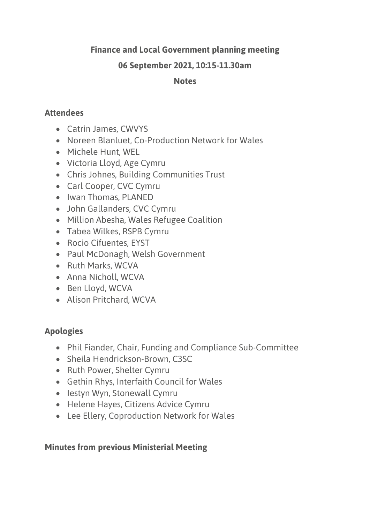## **Finance and Local Government planning meeting**

### **06 September 2021, 10:15-11.30am**

#### **Notes**

#### **Attendees**

- Catrin James, CWVYS
- Noreen Blanluet, Co-Production Network for Wales
- Michele Hunt, WEL
- Victoria Lloyd, Age Cymru
- Chris Johnes, Building Communities Trust
- Carl Cooper, CVC Cymru
- Iwan Thomas, PLANED
- John Gallanders, CVC Cymru
- Million Abesha, Wales Refugee Coalition
- Tabea Wilkes, RSPB Cymru
- Rocio Cifuentes, EYST
- Paul McDonagh, Welsh Government
- Ruth Marks, WCVA
- Anna Nicholl, WCVA
- Ben Lloyd, WCVA
- Alison Pritchard, WCVA

# **Apologies**

- Phil Fiander, Chair, Funding and Compliance Sub-Committee
- Sheila Hendrickson-Brown, C3SC
- Ruth Power, Shelter Cymru
- Gethin Rhys, Interfaith Council for Wales
- Iestyn Wyn, Stonewall Cymru
- Helene Hayes, Citizens Advice Cymru
- Lee Ellery, Coproduction Network for Wales

## **Minutes from previous Ministerial Meeting**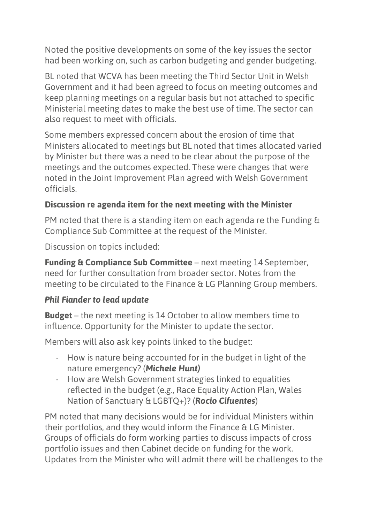Noted the positive developments on some of the key issues the sector had been working on, such as carbon budgeting and gender budgeting.

BL noted that WCVA has been meeting the Third Sector Unit in Welsh Government and it had been agreed to focus on meeting outcomes and keep planning meetings on a regular basis but not attached to specific Ministerial meeting dates to make the best use of time. The sector can also request to meet with officials.

Some members expressed concern about the erosion of time that Ministers allocated to meetings but BL noted that times allocated varied by Minister but there was a need to be clear about the purpose of the meetings and the outcomes expected. These were changes that were noted in the Joint Improvement Plan agreed with Welsh Government officials.

# **Discussion re agenda item for the next meeting with the Minister**

PM noted that there is a standing item on each agenda re the Funding & Compliance Sub Committee at the request of the Minister.

Discussion on topics included:

**Funding & Compliance Sub Committee** – next meeting 14 September, need for further consultation from broader sector. Notes from the meeting to be circulated to the Finance & LG Planning Group members.

# *Phil Fiander to lead update*

**Budget** – the next meeting is 14 October to allow members time to influence. Opportunity for the Minister to update the sector.

Members will also ask key points linked to the budget:

- How is nature being accounted for in the budget in light of the nature emergency? (*Michele Hunt)*
- How are Welsh Government strategies linked to equalities reflected in the budget (e.g., Race Equality Action Plan, Wales Nation of Sanctuary & LGBTQ+)? (*Rocio Cifuentes*)

PM noted that many decisions would be for individual Ministers within their portfolios, and they would inform the Finance & LG Minister. Groups of officials do form working parties to discuss impacts of cross portfolio issues and then Cabinet decide on funding for the work. Updates from the Minister who will admit there will be challenges to the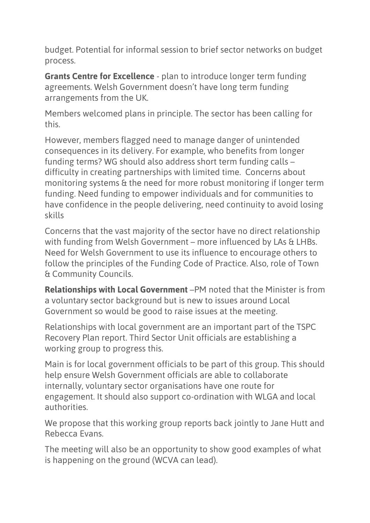budget. Potential for informal session to brief sector networks on budget process.

**Grants Centre for Excellence** - plan to introduce longer term funding agreements. Welsh Government doesn't have long term funding arrangements from the UK.

Members welcomed plans in principle. The sector has been calling for this.

However, members flagged need to manage danger of unintended consequences in its delivery. For example, who benefits from longer funding terms? WG should also address short term funding calls – difficulty in creating partnerships with limited time. Concerns about monitoring systems & the need for more robust monitoring if longer term funding. Need funding to empower individuals and for communities to have confidence in the people delivering, need continuity to avoid losing skills

Concerns that the vast majority of the sector have no direct relationship with funding from Welsh Government – more influenced by LAs & LHBs. Need for Welsh Government to use its influence to encourage others to follow the principles of the Funding Code of Practice. Also, role of Town & Community Councils.

**Relationships with Local Government** –PM noted that the Minister is from a voluntary sector background but is new to issues around Local Government so would be good to raise issues at the meeting.

Relationships with local government are an important part of the TSPC Recovery Plan report. Third Sector Unit officials are establishing a working group to progress this.

Main is for local government officials to be part of this group. This should help ensure Welsh Government officials are able to collaborate internally, voluntary sector organisations have one route for engagement. It should also support co-ordination with WLGA and local authorities.

We propose that this working group reports back jointly to Jane Hutt and Rebecca Evans.

The meeting will also be an opportunity to show good examples of what is happening on the ground (WCVA can lead).